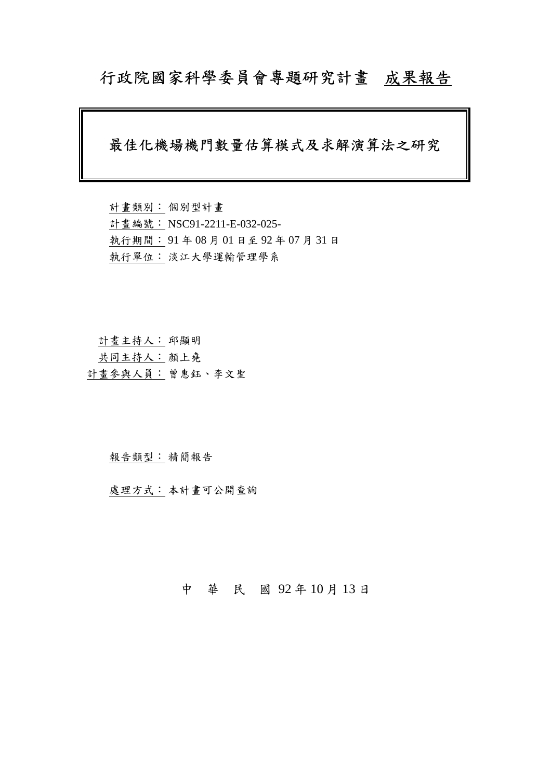# 行政院國家科學委員會專題研究計畫成果報告

# 最佳化機場機門數量估算模式及求解演算法之研究

計畫類別: 個別型計畫 計畫編號: NSC91-2211-E-032-025- 執行期間: 91 年 08 月 01 日至 92 年 07 月 31 日 執行單位: 淡江大學運輸管理學系

計畫主持人: 邱顯明

共同主持人: 顏上堯

計畫參與人員: 曾惠鈺、李文聖

#### 報告類型: 精簡報告

處理方式: 本計畫可公開查詢

### 中 華 民 國 92 年 10 月 13 日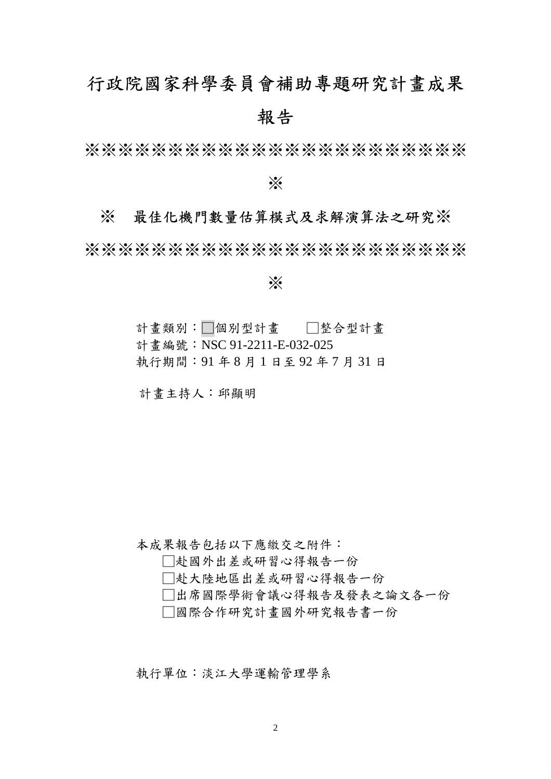# 行政院國家科學委員會補助專題研究計畫成果 報告

※※※※※※※※※※※※※※※※※※※※※※※

※

### ※ 最佳化機門數量估算模式及求解演算法之研究※

※※※※※※※※※※※※※※※※※※※※※※※

※

計畫類別:□個別型計畫 □整合型計畫

計畫編號:NSC 91-2211-E-032-025

執行期間:91 年 8 月 1 日至 92 年 7 月 31 日

計畫主持人:邱顯明

本成果報告包括以下應繳交之附件:

□赴國外出差或研習心得報告一份

□赴大陸地區出差或研習心得報告一份

□出席國際學術會議心得報告及發表之論文各一份

□國際合作研究計畫國外研究報告書一份

執行單位:淡江大學運輸管理學系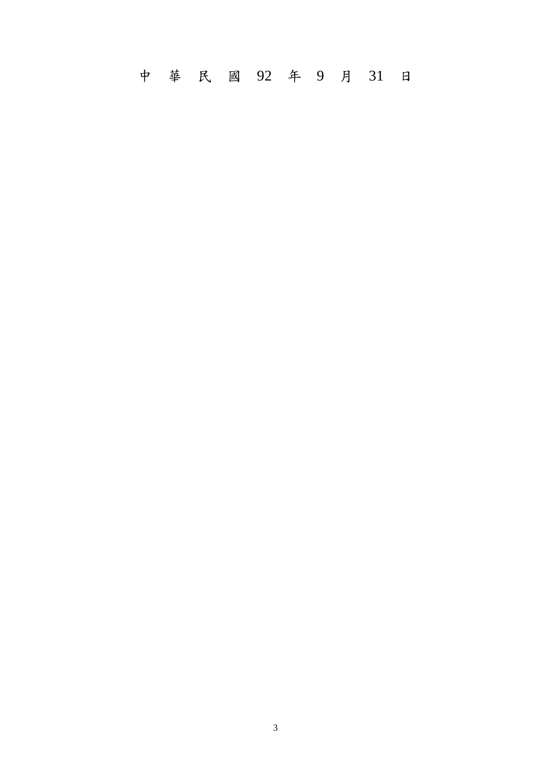中 華 民 國 92 年 9 月 31 日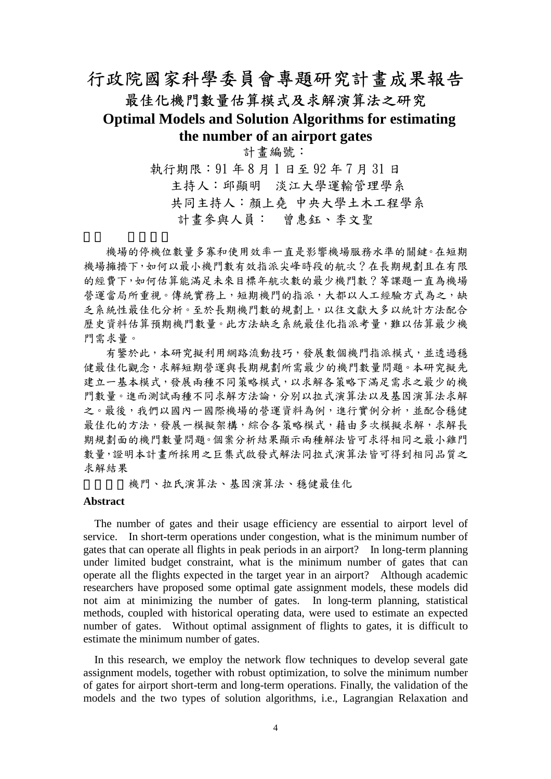# 行政院國家科學委員會專題研究計畫成果報告 最佳化機門數量估算模式及求解演算法之研究

## **Optimal Models and Solution Algorithms for estimating the number of an airport gates**

計畫編號:

執行期限:91 年 8 月 1 日至 92 年 7 月 31 日 主持人:邱顯明 淡江大學運輸管理學系 共同主持人:顏上堯 中央大學土木工程學系 計畫參與人員: 曾惠鈺、李文聖

機場的停機位數量多寡和使用效率一直是影響機場服務水準的關鍵。在短期 機場擁擠下,如何以最小機門數有效指派尖峰時段的航次?在長期規劃且在有限 的經費下,如何估算能滿足未來目標年航次數的最少機門數?等課題一直為機場 營運當局所重視。傳統實務上,短期機門的指派,大都以人工經驗方式為之,缺 乏系統性最佳化分析。至於長期機門數的規劃上,以往文獻大多以統計方法配合 歷史資料估算預期機門數量。此方法缺乏系統最佳化指派考量,難以估算最少機 門需求量。

有鑒於此,本研究擬利用網路流動技巧,發展數個機門指派模式,並透過穩 健最佳化觀念,求解短期營運與長期規劃所需最少的機門數量問題。本研究擬先 建立一基本模式,發展兩種不同策略模式,以求解各策略下滿足需求之最少的機 門數量。進而測試兩種不同求解方法論,分別以拉式演算法以及基因演算法求解 之。最後,我們以國內一國際機場的營運資料為例,進行實例分析,並配合穩健 最佳化的方法,發展一模擬架構,綜合各策略模式,藉由多次模擬求解,求解長 期規劃面的機門數量問題。個案分析結果顯示兩種解法皆可求得相同之最小雞門 數量,證明本計畫所採用之巨集式啟發式解法同拉式演算法皆可得到相同品質之 求解結果

機門、拉氏演算法、基因演算法、穩健最佳化

### **Abstract**

The number of gates and their usage efficiency are essential to airport level of service. In short-term operations under congestion, what is the minimum number of gates that can operate all flights in peak periods in an airport? In long-term planning under limited budget constraint, what is the minimum number of gates that can operate all the flights expected in the target year in an airport? Although academic researchers have proposed some optimal gate assignment models, these models did not aim at minimizing the number of gates. In long-term planning, statistical methods, coupled with historical operating data, were used to estimate an expected number of gates. Without optimal assignment of flights to gates, it is difficult to estimate the minimum number of gates.

In this research, we employ the network flow techniques to develop several gate assignment models, together with robust optimization, to solve the minimum number of gates for airport short-term and long-term operations. Finally, the validation of the models and the two types of solution algorithms, i.e., Lagrangian Relaxation and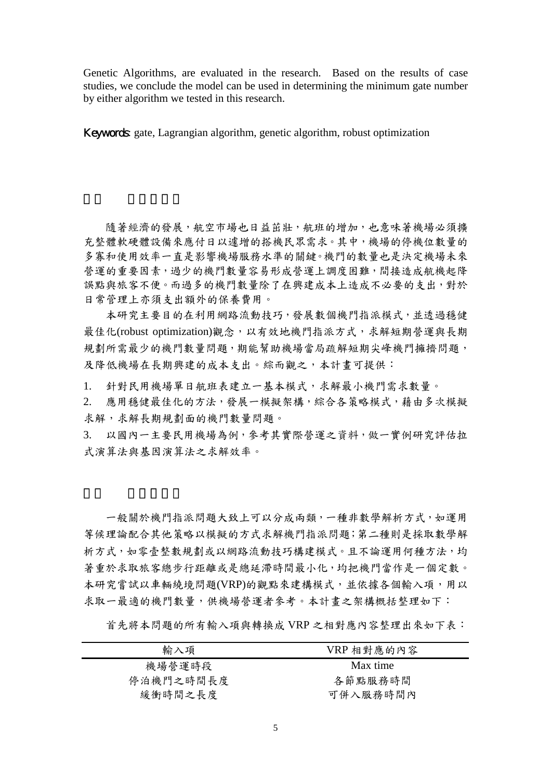Genetic Algorithms, are evaluated in the research. Based on the results of case studies, we conclude the model can be used in determining the minimum gate number by either algorithm we tested in this research.

Keywords: gate, Lagrangian algorithm, genetic algorithm, robust optimization

隨著經濟的發展,航空市場也日益茁壯,航班的增加,也意味著機場必須擴 充整體軟硬體設備來應付日以遽增的搭機民眾需求。其中,機場的停機位數量的 多寡和使用效率一直是影響機場服務水準的關鍵。機門的數量也是決定機場未來 營運的重要因素,過少的機門數量容易形成營運上調度困難,間接造成航機起降 誤點與旅客不便。而過多的機門數量除了在興建成本上造成不必要的支出,對於 日常管理上亦須支出額外的保養費用。

本研究主要目的在利用網路流動技巧,發展數個機門指派模式,並透過穩健 最佳化(robust optimization)觀念,以有效地機門指派方式,求解短期營運與長期 規劃所需最少的機門數量問題,期能幫助機場當局疏解短期尖峰機門擁擠問題, 及降低機場在長期興建的成本支出。綜而觀之,本計書可提供:

1. 針對民用機場單日航班表建立一基本模式,求解最小機門需求數量。

2. 應用穩健最佳化的方法,發展一模擬架構,綜合各策略模式,藉由多次模擬 求解,求解長期規劃面的機門數量問題。

3. 以國內一主要民用機場為例,參考其實際營運之資料,做一實例研究評估拉 式演算法與基因演算法之求解效率。

一般關於機門指派問題大致上可以分成兩類,一種非數學解析方式,如運用 等候理論配合其他策略以模擬的方式求解機門指派問題;第二種則是採取數學解 析方式,如零壹整數規劃或以網路流動技巧構建模式。且不論運用何種方法,均 著重於求取旅客總步行距離或是總延滯時間最小化,均把機門當作是一個定數。 本研究嘗試以車輛繞境問題(VRP)的觀點來建構模式,並依據各個輸入項,用以 求取一最適的機門數量,供機場營運者參考。本計畫之架構概括整理如下:

首先將本問題的所有輸入項與轉換成 VRP 之相對應內容整理出來如下表:

| VRP 相對應的內容 |
|------------|
| Max time   |
| 各節點服務時間    |
| 可併入服務時間內   |
|            |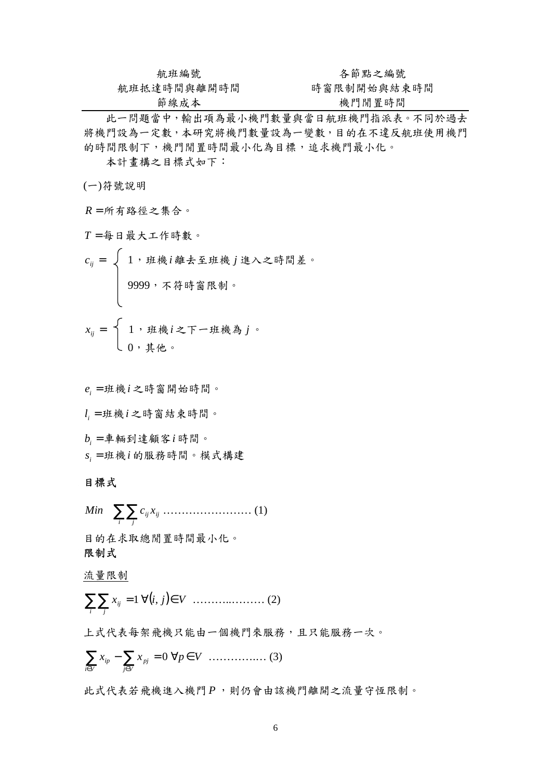| 航班編號        | 各節點之編號      |
|-------------|-------------|
| 航班抵達時間與離開時間 | 時窗限制開始與結束時間 |
| 節線成本        | 機門閒置時間      |

此一問題當中,輸出項為最小機門數量與當日航班機門指派表。不同於過去 將機門設為一定數,本研究將機門數量設為一變數,目的在不違反航班使用機門 的時間限制下,機門閒置時間最小化為目標,追求機門最小化。

本計畫構之目標式如下:

(一)符號說明

*R* = 所有路徑之集合。

*T* = 每日最大工作時數。

$$
c_{ij} = \left\{ \begin{array}{l} 1,  #_{ik} i \hbox{\hskip 1pt } \# \hbox{\hskip 1pt } \pm \hbox{\hskip 1pt } \pm \hbox{\hskip 1pt } \pm \hbox{\hskip 1pt } \pm \hbox{\hskip 1pt } \lambda \hbox{\hskip 1pt } \pm \hbox{\hskip 1pt } \mathbb{B} \hbox{\hskip 1pt } \mathbb{B} \hbox{\hskip 1pt } \pm \hbox{\hskip 1pt } \circ \hbox{\hskip 1pt } \\ \\ 9999,  \hbox{\hskip 1pt } \mp \hbox{\hskip 1pt } \# \hbox{\hskip 1pt } \# \hbox{\hskip 1pt } \oplus \hbox{\hskip 1pt } \mathbb{B} \hbox{\hskip 1pt } \mathbb{B} \hbox{\hskip 1pt } \hbox{\hskip 1pt } \circ \hbox{\hskip 1pt } \\ \\ x_{ij} = \left\{ \begin{array}{l} 1,  _{j} \hbox{\hskip 1pt } \# \hbox{\hskip 1pt } \# \hbox{\hskip 1pt } i \hbox{\hskip 1pt } \pm \hbox{\hskip 1pt } \mp \hbox{\hskip 1pt } \pm \hbox{\hskip 1pt } \# \hbox{\hskip 1pt } \oplus \hbox{\hskip 1pt } \\ 0,  _{j} \hbox{\hskip 1pt } \# \hbox{\hskip 1pt } \mu \hbox{\hskip 1pt } \circ \hbox{\hskip 1pt } \end{array} \right.
$$

*ei* = 班機*i* 之時窗開始時間。 *li* = 班機*i* 之時窗結束時間。 *bi* = 車輛到達顧客*i* 時間。 *si* = 班機*i* 的服務時間。模式構建 目標式

 $\sum_i \sum_j$ *ij ij Min c x* …………………… (1) 目的在求取總閒置時間最小化。 限制式

流量限制

∑∑ <sup>=</sup> <sup>1</sup> *i j ij x* ∀( ) *i*, ………..……… (2) *j* ∈*V*

上式代表每架飛機只能由一個機門來服務,且只能服務一次。

$$
\sum_{i\in V} x_{ip} - \sum_{j\in V} x_{pj} = 0 \,\,\forall p \in V \,\, \ldots \ldots \ldots \ldots \ldots \tag{3}
$$

此式代表若飛機進入機門 *P* ,則仍會由該機門離開之流量守恆限制。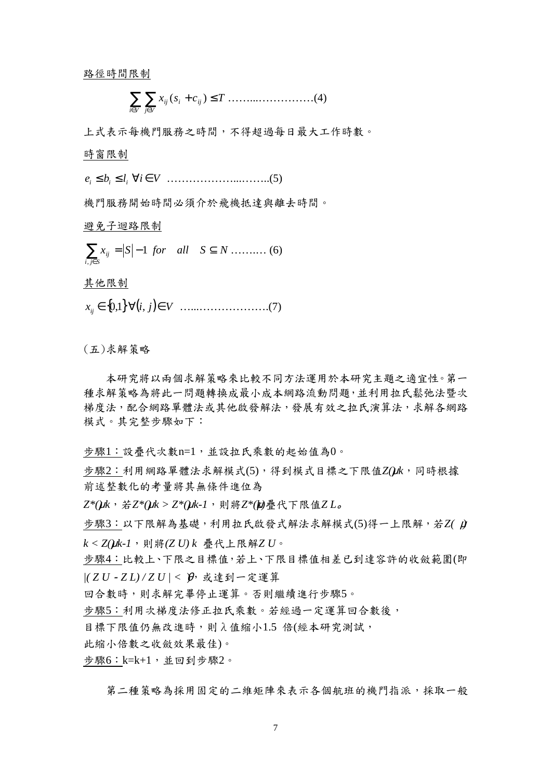路徑時間限制

$$
\sum_{i \in V} \sum_{j \in V} x_{ij} (s_i + c_{ij}) \le T \dots \dots \dots \dots \dots \dots \dots (4)
$$

上式表示每機門服務之時間,不得超過每日最大工作時數。

時窗限制

*i e* ≤ *b* ≤ *l*  $\forall i \in V$  ………………………..(5)

機門服務開始時間必須介於飛機抵達與離去時間。

避免子迴路限制

 $\sum_{j\in S} x_{ij} = |S|$  $i, j \in S$  $x_{ij} = S$ , 1 *for all*  $S \subseteq N$  ……… (6)

其他限制

∈{ } 0,1 *ij x* ∀( ) *i*, …...……………….(7) *j* ∈*V*

(五)求解策略

本研究將以兩個求解策略來比較不同方法運用於本研究主題之適宜性。第一 種求解策略為將此一問題轉換成最小成本網路流動問題,並利用拉氏鬆弛法暨次 梯度法,配合網路單體法或其他啟發解法,發展有效之拉氏演算法,求解各網路 模式。其完整步驟如下:

步驟1︰設疊代次數n=1,並設拉氏乘數的起始值為0。

步驟2:利用網路單體法求解模式(5),得到模式目標之下限值Z(uk,同時根據 前述整數化的考量將其無條件進位為

*Z\*(μk*, 若*Z\*(μk > Z\*(μk-1*, 則將*Z\*(μ*)疊代下限值*Z L*。

步驟3︰以下限解為基礎,利用拉氏啟發式解法求解模式(5)得一上限解,若*Z(* μ*) k < Z() k-1* μ ,則將*(Z U) k* 疊代上限解*Z U*。

步驟4︰比較上、下限之目標值,若上、下限目標值相差已到達容許的收斂範圍(即 *|( Z U*-*Z L) / Z U | <* )θ,或達到一定運算

回合數時,則求解宗畢停止運算。否則繼續進行步驟5。

步驟5︰利用次梯度法修正拉氏乘數。若經過一定運算回合數後,

目標下限值仍無改進時,則λ值縮小1.5 倍(經本研究測試,

此縮小倍數之收斂效果最佳)。

步驟 $6:$  k=k+ $1:$ 並回到步驟 $2$ 。

第二種策略為採用固定的二維矩陣來表示各個航班的機門指派,採取一般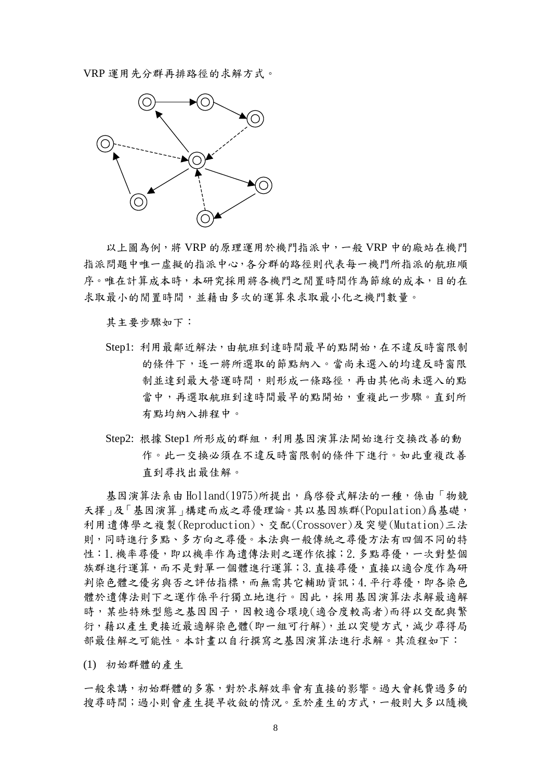VRP 運用先分群再排路徑的求解方式。



以上圖為例,將 VRP 的原理運用於機門指派中,一般 VRP 中的廠站在機門 指派問題中唯一虛擬的指派中心,各分群的路徑則代表每一機門所指派的航班順 序。唯在計算成本時,本研究採用將各機門之閒置時間作為節線的成本,目的在 求取最小的閒置時間,並藉由多次的運算來求取最小化之機門數量。

其主要步驟如下:

- Step1: 利用最鄰近解法,由航班到達時間最早的點開始,在不違反時窗限制 的條件下,逐一將所選取的節點納入。當尚未選入的均違反時窗限 制並達到最大營運時間,則形成一條路徑,再由其他尚未選入的點 當中,再選取航班到達時間最早的點開始,重複此一步驟。直到所 有點均納入排程中。
- Step2: 根據 Step1 所形成的群組,利用基因演算法開始進行交換改善的動 作。此一交換必須在不違反時窗限制的條件下進行。如此重複改善 直到尋找出最佳解。

基因演算法系由 Holland(1975)所提出,為啓發式解法的一種,係由「物競 天擇」及「基因演算」構建而成之尋優理論。其以基因族群(Population)爲基礎, 利用遺傳學之複製(Reproduction)、交配(Crossover)及突變(Mutation)三法 則,同時進行多點、多方向之尋優。本法與一般傳統之尋優方法有四個不同的特 性:1.機率尋優,即以機率作為遺傳法則之運作依據;2.多點尋優,一次對整個 族群進行運算,而不是對單一個體進行運算;3.直接尋優,直接以適合度作為研 判染色體之優劣與否之評估指標,而無需其它輔助資訊;4.平行尋優,即各染色 體於遺傳法則下之運作係平行獨立地進行。因此,採用基因演算法求解最適解 時,某些特殊型態之基因因子,因較適合環境(適合度較高者)而得以交配與繁 衍,藉以產生更接近最適解染色體(即一組可行解),並以突變方式,減少尋得局 部最佳解之可能性。本計畫以自行撰寫之基因演算法進行求解。其流程如下:

(1) 初始群體的產生

一般來講,初始群體的多寡,對於求解效率會有直接的影響。過大會耗費過多的 搜尋時間;過小則會產生提早收斂的情況。至於產生的方式,一般則大多以隨機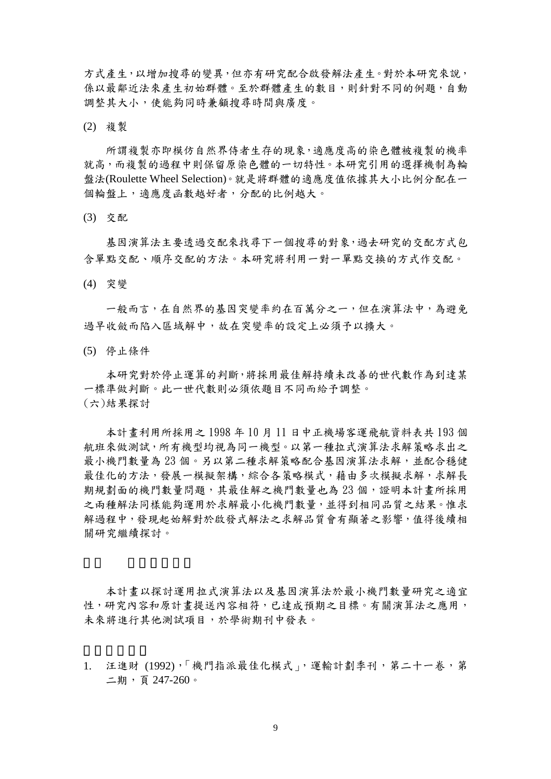方式產生,以增加搜尋的變異,但亦有研究配合啟發解法產生。對於本研究來說, 係以最鄰近法來產生初始群體。至於群體產生的數目,則針對不同的例題,自動 調整其大小,使能夠同時兼顧搜尋時間與廣度。

(2) 複製

所謂複製亦即模仿自然界侍者生存的現象,適應度高的染色體被複製的機率 就高,而複製的過程中則保留原染色體的一切特性。本研究引用的選擇機制為輪 盤法(Roulette Wheel Selection)。就是將群體的適應度值依據其大小比例分配在一 個輪盤上,適應度函數越好者,分配的比例越大。

(3) 交配

基因演算法主要透過交配來找尋下一個搜尋的對象,過去研究的交配方式包 含單點交配、順序交配的方法。本研究將利用一對一單點交換的方式作交配。

(4) 突變

一般而言,在自然界的基因突變率約在百萬分之一,但在演算法中,為避免 過早收斂而陷入區域解中,故在突變率的設定上必須予以擴大。

(5) 停止條件

本研究對於停止運算的判斷,將採用最佳解持續未改善的世代數作為到達某 一標準做判斷。此一世代數則必須依題目不同而給予調整。 (六)結果探討

本計畫利用所採用之 1998 年 10 月 11 日中正機場客運飛航資料表共 193 個 航班來做測試,所有機型均視為同一機型。以第一種拉式演算法求解策略求出之 最小機門數量為 23個。另以第二種求解策略配合基因演算法求解,並配合穩健 最佳化的方法,發展一模擬架構,綜合各策略模式,藉由多次模擬求解,求解長 期規劃面的機門數量問題,其最佳解之機門數量也為 23個,證明本計畫所採用 之兩種解法同樣能夠運用於求解最小化機門數量,並得到相同品質之結果。惟求 解過程中,發現起始解對於啟發式解法之求解品質會有顯著之影響,值得後續相 關研究繼續探討。

本計畫以探討運用拉式演算法以及基因演算法於最小機門數量研究之適宜 性,研究內容和原計畫提送內容相符,已達成預期之目標。有關演算法之應用, 未來將進行其他測試項目,於學術期刊中發表。

1. 汪進財 (1992),「機門指派最佳化模式」,運輸計劃季刊,第二十一卷,第 二期,頁 247-260。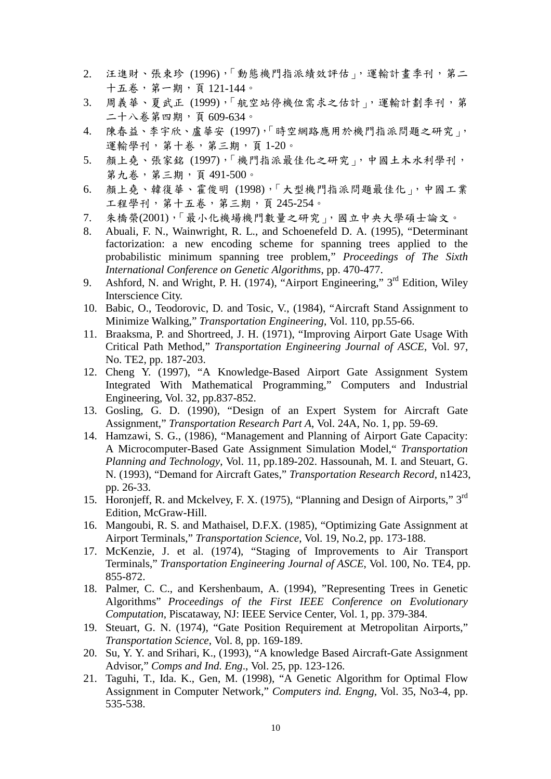- 2. 汪進財、張束珍 (1996),「動態機門指派績效評估」,運輸計畫季刊,第二 十五卷,第一期,頁 121-144。
- 3. 周義華、夏武正 (1999),「航空站停機位需求之估計」,運輸計劃季刊,第 二十八卷第四期,頁 609-634。
- 4. 陳春益、李宇欣、盧華安 (1997),「時空網路應用於機門指派問題之研究」, 運輸學刊,第十卷,第三期,頁 1-20。
- 5. 顏上堯、張家銘 (1997),「機門指派最佳化之研究」,中國土木水利學刊, 第九卷,第三期,頁 491-500。
- 6. 顏上堯、韓復華、霍俊明 (1998),「大型機門指派問題最佳化」,中國工業 工程學刊,第十五卷,第三期,頁 245-254。
- 7. 朱橋榮(2001),「最小化機場機門數量之研究」,國立中央大學碩士論文。
- 8. Abuali, F. N., Wainwright, R. L., and Schoenefeld D. A. (1995), "Determinant factorization: a new encoding scheme for spanning trees applied to the probabilistic minimum spanning tree problem," *Proceedings of The Sixth International Conference on Genetic Algorithms*, pp. 470-477.
- 9. Ashford, N. and Wright, P. H. (1974), "Airport Engineering," 3<sup>rd</sup> Edition, Wiley Interscience City.
- 10. Babic, O., Teodorovic, D. and Tosic, V., (1984), "Aircraft Stand Assignment to Minimize Walking," *Transportation Engineering*, Vol. 110, pp.55-66.
- 11. Braaksma, P. and Shortreed, J. H. (1971), "Improving Airport Gate Usage With Critical Path Method," *Transportation Engineering Journal of ASCE*, Vol. 97, No. TE2, pp. 187-203.
- 12. Cheng Y. (1997), "A Knowledge-Based Airport Gate Assignment System Integrated With Mathematical Programming," Computers and Industrial Engineering, Vol. 32, pp.837-852.
- 13. Gosling, G. D. (1990), "Design of an Expert System for Aircraft Gate Assignment," *Transportation Research Part A*, Vol. 24A, No. 1, pp. 59-69.
- 14. Hamzawi, S. G., (1986), "Management and Planning of Airport Gate Capacity: A Microcomputer-Based Gate Assignment Simulation Model," *Transportation Planning and Technology*, Vol. 11, pp.189-202. Hassounah, M. I. and Steuart, G. N. (1993), "Demand for Aircraft Gates," *Transportation Research Record*, n1423, pp. 26-33.
- 15. Horonjeff, R. and Mckelvey, F. X. (1975), "Planning and Design of Airports," 3rd Edition, McGraw-Hill.
- 16. Mangoubi, R. S. and Mathaisel, D.F.X. (1985), "Optimizing Gate Assignment at Airport Terminals," *Transportation Science*, Vol. 19, No.2, pp. 173-188.
- 17. McKenzie, J. et al. (1974), "Staging of Improvements to Air Transport Terminals," *Transportation Engineering Journal of ASCE*, Vol. 100, No. TE4, pp. 855-872.
- 18. Palmer, C. C., and Kershenbaum, A. (1994), "Representing Trees in Genetic Algorithms" *Proceedings of the First IEEE Conference on Evolutionary Computation*, Piscataway, NJ: IEEE Service Center, Vol. 1, pp. 379-384.
- 19. Steuart, G. N. (1974), "Gate Position Requirement at Metropolitan Airports," *Transportation Science*, Vol. 8, pp. 169-189.
- 20. Su, Y. Y. and Srihari, K., (1993), "A knowledge Based Aircraft-Gate Assignment Advisor," *Comps and Ind. Eng*., Vol. 25, pp. 123-126.
- 21. Taguhi, T., Ida. K., Gen, M. (1998), "A Genetic Algorithm for Optimal Flow Assignment in Computer Network," *Computers ind. Engng,* Vol. 35, No3-4, pp. 535-538.